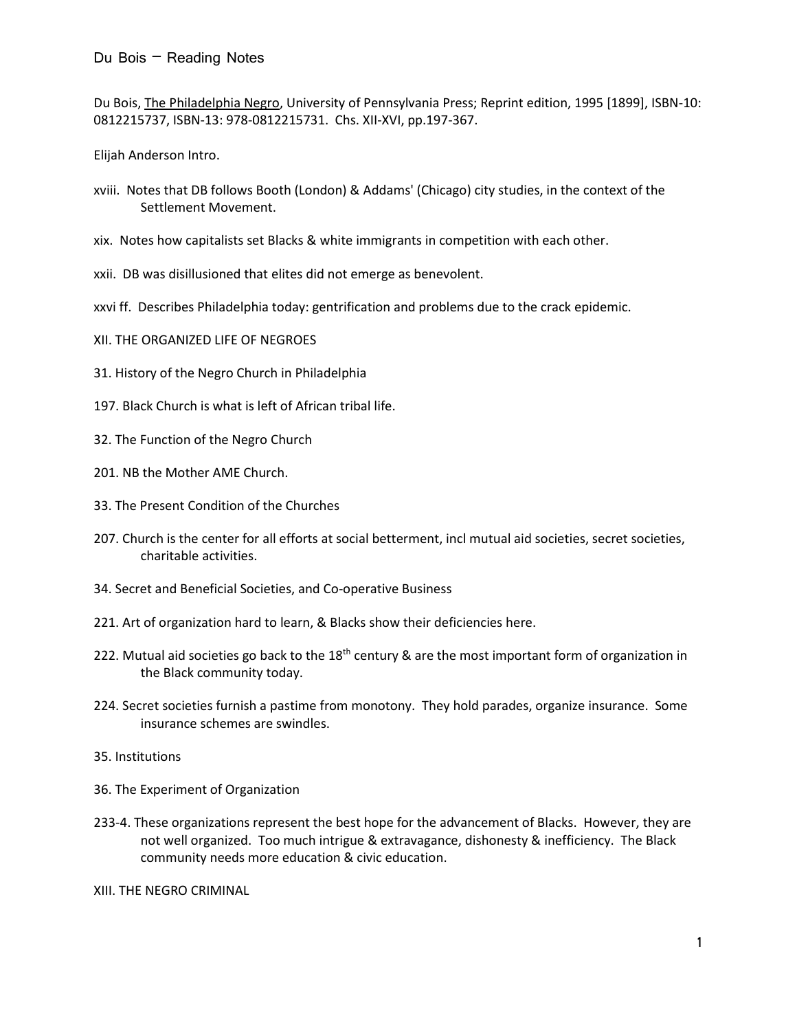Du Bois, The Philadelphia Negro, University of Pennsylvania Press; Reprint edition, 1995 [1899], ISBN-10: 0812215737, ISBN-13: 978-0812215731. Chs. XII-XVI, pp.197-367.

Elijah Anderson Intro.

- xviii. Notes that DB follows Booth (London) & Addams' (Chicago) city studies, in the context of the Settlement Movement.
- xix. Notes how capitalists set Blacks & white immigrants in competition with each other.
- xxii. DB was disillusioned that elites did not emerge as benevolent.
- xxvi ff. Describes Philadelphia today: gentrification and problems due to the crack epidemic.
- XII. THE ORGANIZED LIFE OF NEGROES
- 31. History of the Negro Church in Philadelphia
- 197. Black Church is what is left of African tribal life.
- 32. The Function of the Negro Church
- 201. NB the Mother AME Church.
- 33. The Present Condition of the Churches
- 207. Church is the center for all efforts at social betterment, incl mutual aid societies, secret societies, charitable activities.
- 34. Secret and Beneficial Societies, and Co-operative Business
- 221. Art of organization hard to learn, & Blacks show their deficiencies here.
- 222. Mutual aid societies go back to the 18<sup>th</sup> century & are the most important form of organization in the Black community today.
- 224. Secret societies furnish a pastime from monotony. They hold parades, organize insurance. Some insurance schemes are swindles.
- 35. Institutions
- 36. The Experiment of Organization
- 233-4. These organizations represent the best hope for the advancement of Blacks. However, they are not well organized. Too much intrigue & extravagance, dishonesty & inefficiency. The Black community needs more education & civic education.

XIII. THE NEGRO CRIMINAL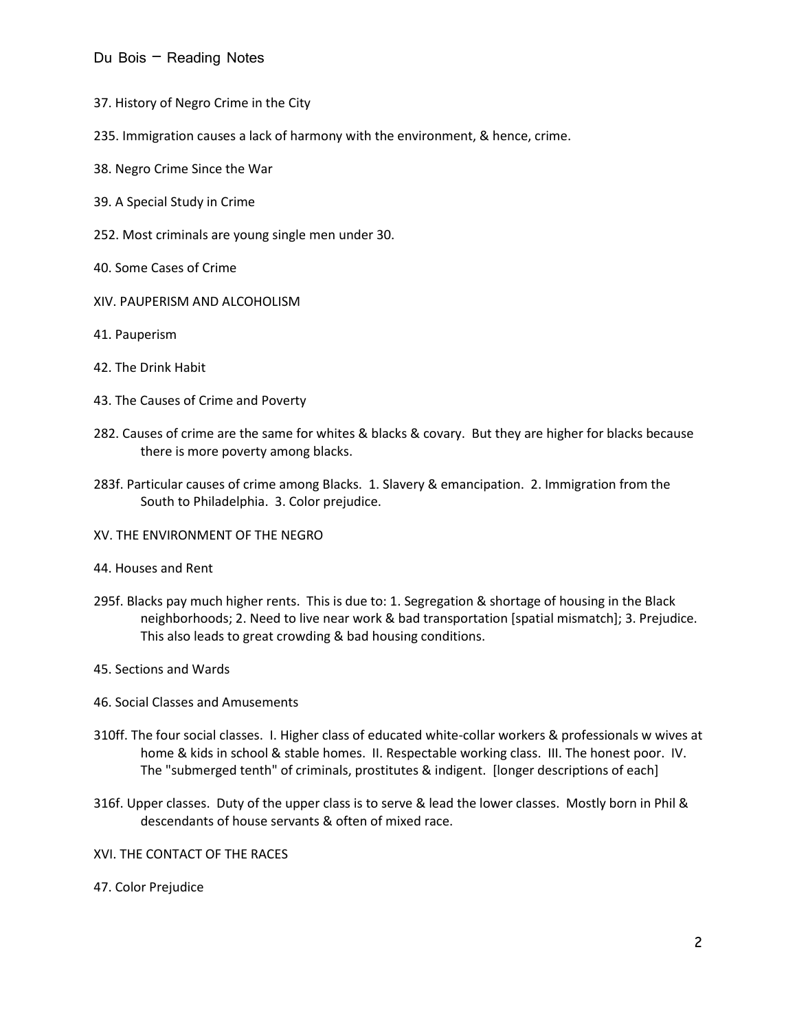- 37. History of Negro Crime in the City
- 235. Immigration causes a lack of harmony with the environment, & hence, crime.
- 38. Negro Crime Since the War
- 39. A Special Study in Crime
- 252. Most criminals are young single men under 30.
- 40. Some Cases of Crime
- XIV. PAUPERISM AND ALCOHOLISM
- 41. Pauperism
- 42. The Drink Habit
- 43. The Causes of Crime and Poverty
- 282. Causes of crime are the same for whites & blacks & covary. But they are higher for blacks because there is more poverty among blacks.
- 283f. Particular causes of crime among Blacks. 1. Slavery & emancipation. 2. Immigration from the South to Philadelphia. 3. Color prejudice.
- XV. THE ENVIRONMENT OF THE NEGRO
- 44. Houses and Rent
- 295f. Blacks pay much higher rents. This is due to: 1. Segregation & shortage of housing in the Black neighborhoods; 2. Need to live near work & bad transportation [spatial mismatch]; 3. Prejudice. This also leads to great crowding & bad housing conditions.
- 45. Sections and Wards
- 46. Social Classes and Amusements
- 310ff. The four social classes. I. Higher class of educated white-collar workers & professionals w wives at home & kids in school & stable homes. II. Respectable working class. III. The honest poor. IV. The "submerged tenth" of criminals, prostitutes & indigent. [longer descriptions of each]
- 316f. Upper classes. Duty of the upper class is to serve & lead the lower classes. Mostly born in Phil & descendants of house servants & often of mixed race.
- XVI. THE CONTACT OF THE RACES
- 47. Color Prejudice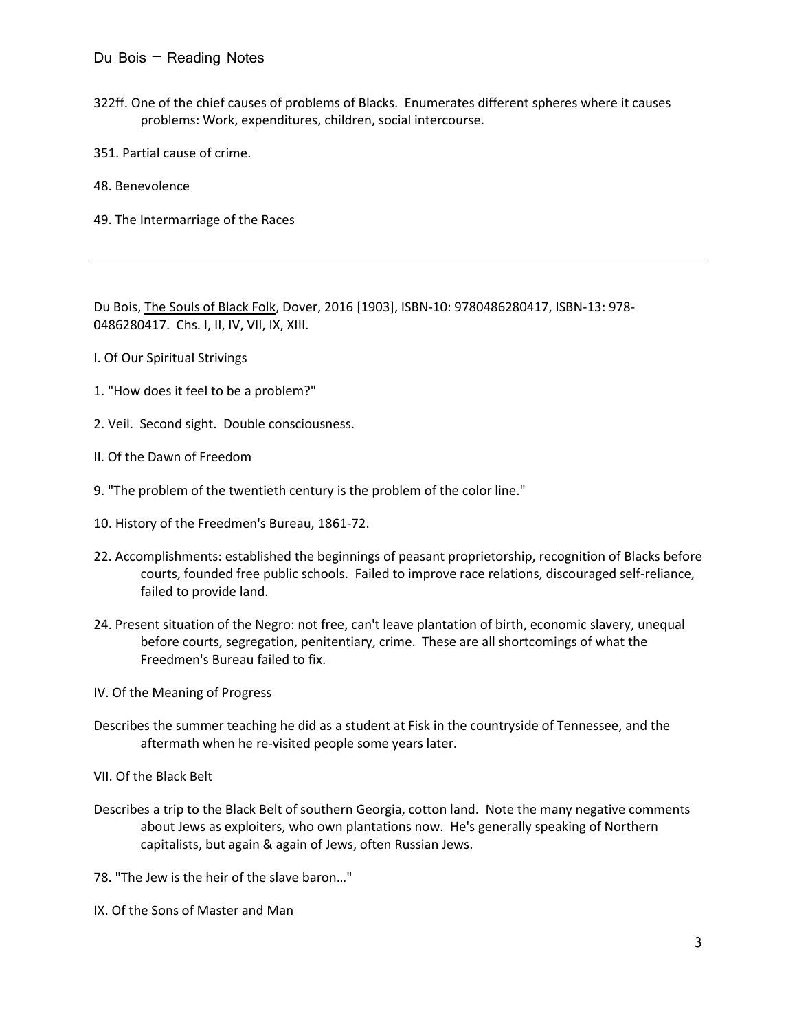- 322ff. One of the chief causes of problems of Blacks. Enumerates different spheres where it causes problems: Work, expenditures, children, social intercourse.
- 351. Partial cause of crime.
- 48. Benevolence
- 49. The Intermarriage of the Races

Du Bois, The Souls of Black Folk, Dover, 2016 [1903], ISBN-10: 9780486280417, ISBN-13: 978- 0486280417. Chs. I, II, IV, VII, IX, XIII.

- I. Of Our Spiritual Strivings
- 1. "How does it feel to be a problem?"
- 2. Veil. Second sight. Double consciousness.
- II. Of the Dawn of Freedom
- 9. "The problem of the twentieth century is the problem of the color line."
- 10. History of the Freedmen's Bureau, 1861-72.
- 22. Accomplishments: established the beginnings of peasant proprietorship, recognition of Blacks before courts, founded free public schools. Failed to improve race relations, discouraged self-reliance, failed to provide land.
- 24. Present situation of the Negro: not free, can't leave plantation of birth, economic slavery, unequal before courts, segregation, penitentiary, crime. These are all shortcomings of what the Freedmen's Bureau failed to fix.
- IV. Of the Meaning of Progress
- Describes the summer teaching he did as a student at Fisk in the countryside of Tennessee, and the aftermath when he re-visited people some years later.
- VII. Of the Black Belt
- Describes a trip to the Black Belt of southern Georgia, cotton land. Note the many negative comments about Jews as exploiters, who own plantations now. He's generally speaking of Northern capitalists, but again & again of Jews, often Russian Jews.
- 78. "The Jew is the heir of the slave baron…"
- IX. Of the Sons of Master and Man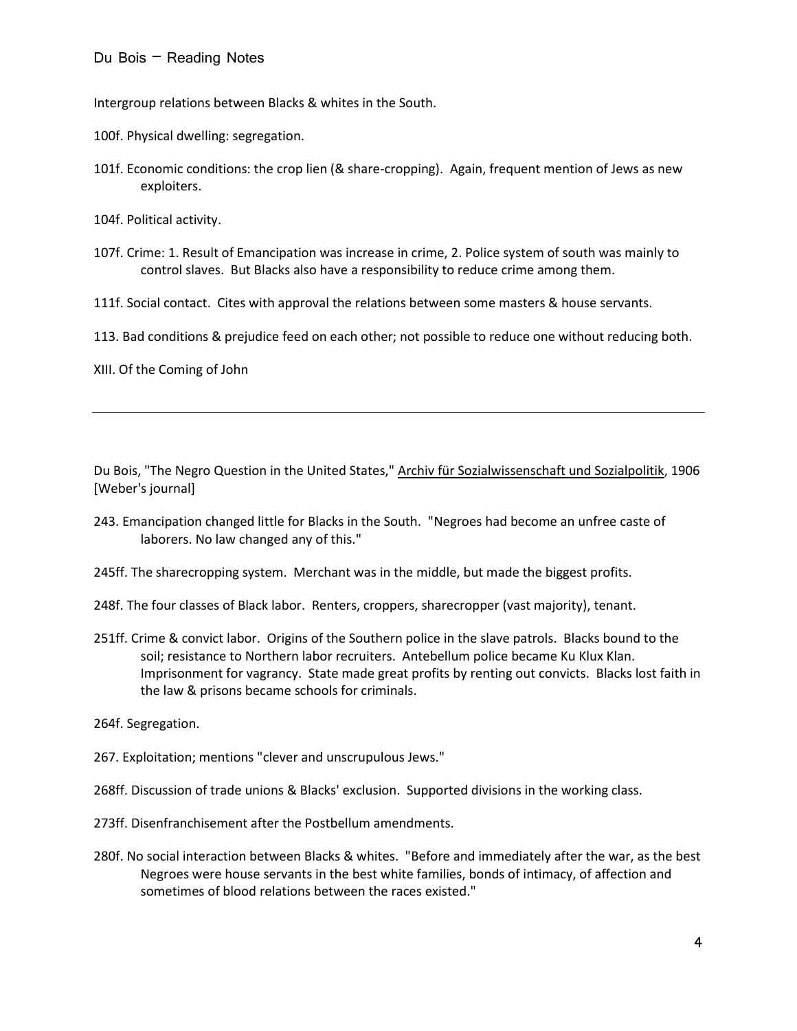Intergroup relations between Blacks & whites in the South.

100f. Physical dwelling: segregation.

101f. Economic conditions: the crop lien (& share-cropping). Again, frequent mention of Jews as new exploiters.

104f. Political activity.

107f. Crime: 1. Result of Emancipation was increase in crime, 2. Police system of south was mainly to control slaves. But Blacks also have a responsibility to reduce crime among them.

111f. Social contact. Cites with approval the relations between some masters & house servants.

113. Bad conditions & prejudice feed on each other; not possible to reduce one without reducing both.

XIII. Of the Coming of John

Du Bois, "The Negro Question in the United States," Archiv für Sozialwissenschaft und Sozialpolitik, 1906 [Weber's journal]

- 243. Emancipation changed little for Blacks in the South. "Negroes had become an unfree caste of laborers. No law changed any of this."
- 245ff. The sharecropping system. Merchant was in the middle, but made the biggest profits.
- 248f. The four classes of Black labor. Renters, croppers, sharecropper (vast majority), tenant.
- 251ff. Crime & convict labor. Origins of the Southern police in the slave patrols. Blacks bound to the soil; resistance to Northern labor recruiters. Antebellum police became Ku Klux Klan. Imprisonment for vagrancy. State made great profits by renting out convicts. Blacks lost faith in the law & prisons became schools for criminals.

264f. Segregation.

- 267. Exploitation; mentions "clever and unscrupulous Jews."
- 268ff. Discussion of trade unions & Blacks' exclusion. Supported divisions in the working class.
- 273ff. Disenfranchisement after the Postbellum amendments.
- 280f. No social interaction between Blacks & whites. "Before and immediately after the war, as the best Negroes were house servants in the best white families, bonds of intimacy, of affection and sometimes of blood relations between the races existed."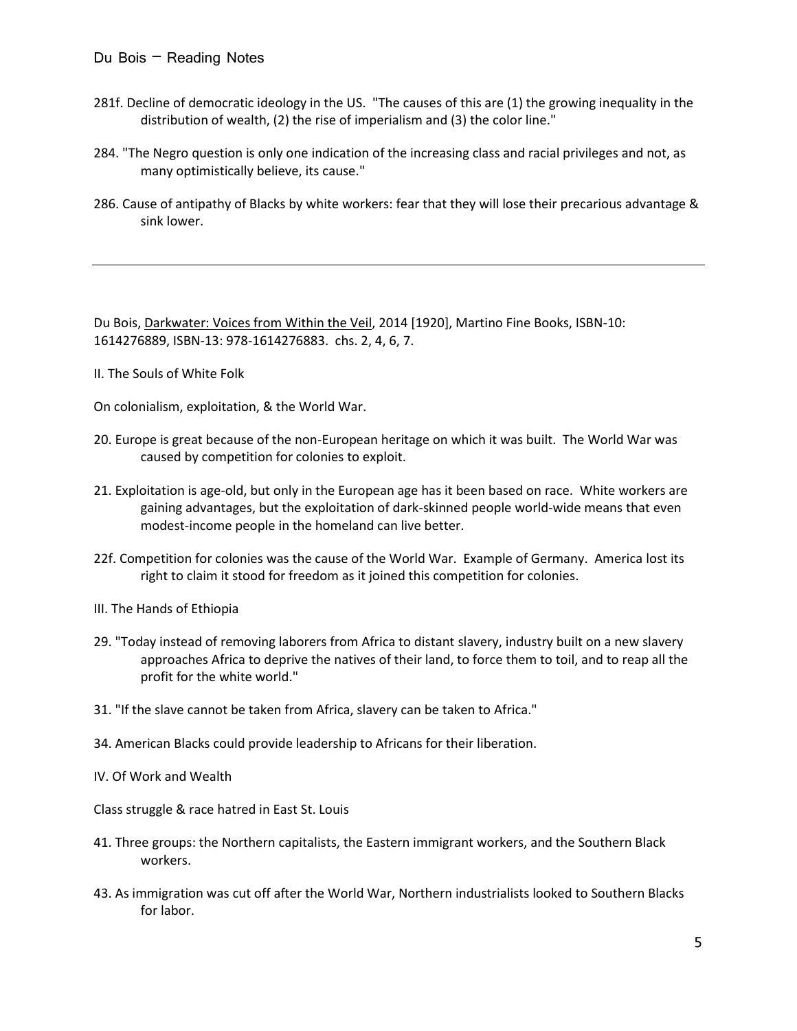- 281f. Decline of democratic ideology in the US. "The causes of this are (1) the growing inequality in the distribution of wealth, (2) the rise of imperialism and (3) the color line."
- 284. "The Negro question is only one indication of the increasing class and racial privileges and not, as many optimistically believe, its cause."
- 286. Cause of antipathy of Blacks by white workers: fear that they will lose their precarious advantage & sink lower.

Du Bois, Darkwater: Voices from Within the Veil, 2014 [1920], Martino Fine Books, ISBN-10: 1614276889, ISBN-13: 978-1614276883. chs. 2, 4, 6, 7.

II. The Souls of White Folk

On colonialism, exploitation, & the World War.

- 20. Europe is great because of the non-European heritage on which it was built. The World War was caused by competition for colonies to exploit.
- 21. Exploitation is age-old, but only in the European age has it been based on race. White workers are gaining advantages, but the exploitation of dark-skinned people world-wide means that even modest-income people in the homeland can live better.
- 22f. Competition for colonies was the cause of the World War. Example of Germany. America lost its right to claim it stood for freedom as it joined this competition for colonies.
- III. The Hands of Ethiopia
- 29. "Today instead of removing laborers from Africa to distant slavery, industry built on a new slavery approaches Africa to deprive the natives of their land, to force them to toil, and to reap all the profit for the white world."
- 31. "If the slave cannot be taken from Africa, slavery can be taken to Africa."
- 34. American Blacks could provide leadership to Africans for their liberation.
- IV. Of Work and Wealth
- Class struggle & race hatred in East St. Louis
- 41. Three groups: the Northern capitalists, the Eastern immigrant workers, and the Southern Black workers.
- 43. As immigration was cut off after the World War, Northern industrialists looked to Southern Blacks for labor.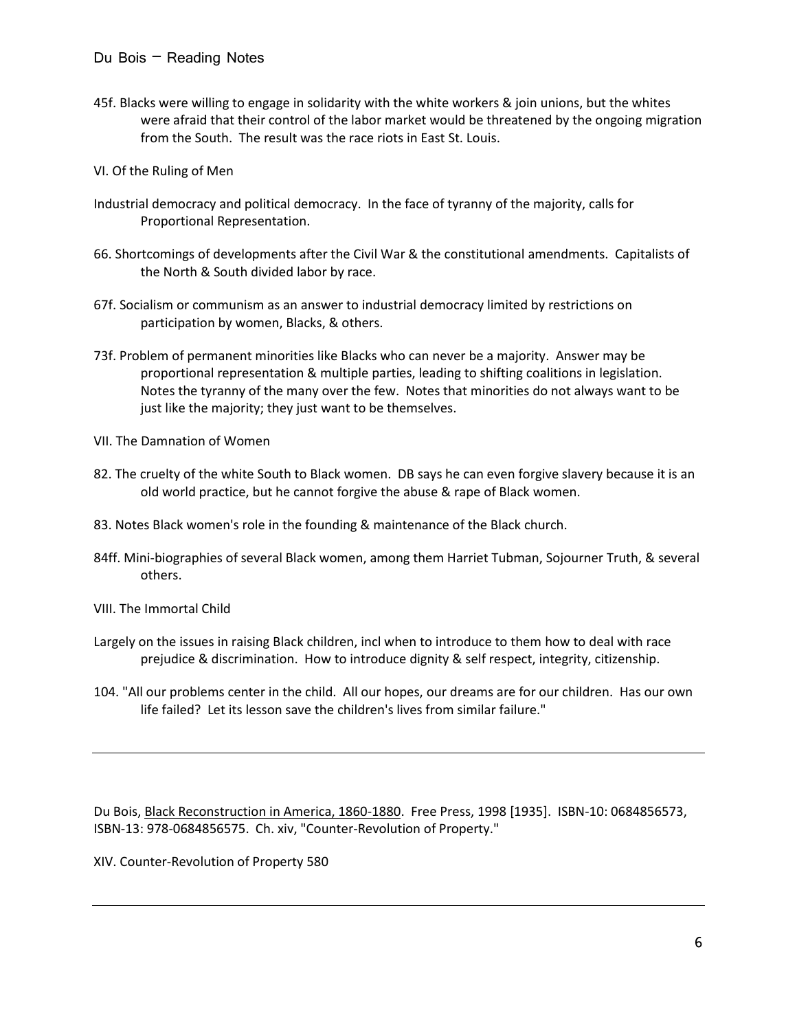- 45f. Blacks were willing to engage in solidarity with the white workers & join unions, but the whites were afraid that their control of the labor market would be threatened by the ongoing migration from the South. The result was the race riots in East St. Louis.
- VI. Of the Ruling of Men
- Industrial democracy and political democracy. In the face of tyranny of the majority, calls for Proportional Representation.
- 66. Shortcomings of developments after the Civil War & the constitutional amendments. Capitalists of the North & South divided labor by race.
- 67f. Socialism or communism as an answer to industrial democracy limited by restrictions on participation by women, Blacks, & others.
- 73f. Problem of permanent minorities like Blacks who can never be a majority. Answer may be proportional representation & multiple parties, leading to shifting coalitions in legislation. Notes the tyranny of the many over the few. Notes that minorities do not always want to be just like the majority; they just want to be themselves.
- VII. The Damnation of Women
- 82. The cruelty of the white South to Black women. DB says he can even forgive slavery because it is an old world practice, but he cannot forgive the abuse & rape of Black women.
- 83. Notes Black women's role in the founding & maintenance of the Black church.
- 84ff. Mini-biographies of several Black women, among them Harriet Tubman, Sojourner Truth, & several others.
- VIII. The Immortal Child
- Largely on the issues in raising Black children, incl when to introduce to them how to deal with race prejudice & discrimination. How to introduce dignity & self respect, integrity, citizenship.
- 104. "All our problems center in the child. All our hopes, our dreams are for our children. Has our own life failed? Let its lesson save the children's lives from similar failure."

Du Bois, Black Reconstruction in America, 1860-1880. Free Press, 1998 [1935]. ISBN-10: 0684856573, ISBN-13: 978-0684856575. Ch. xiv, "Counter-Revolution of Property."

XIV. Counter-Revolution of Property 580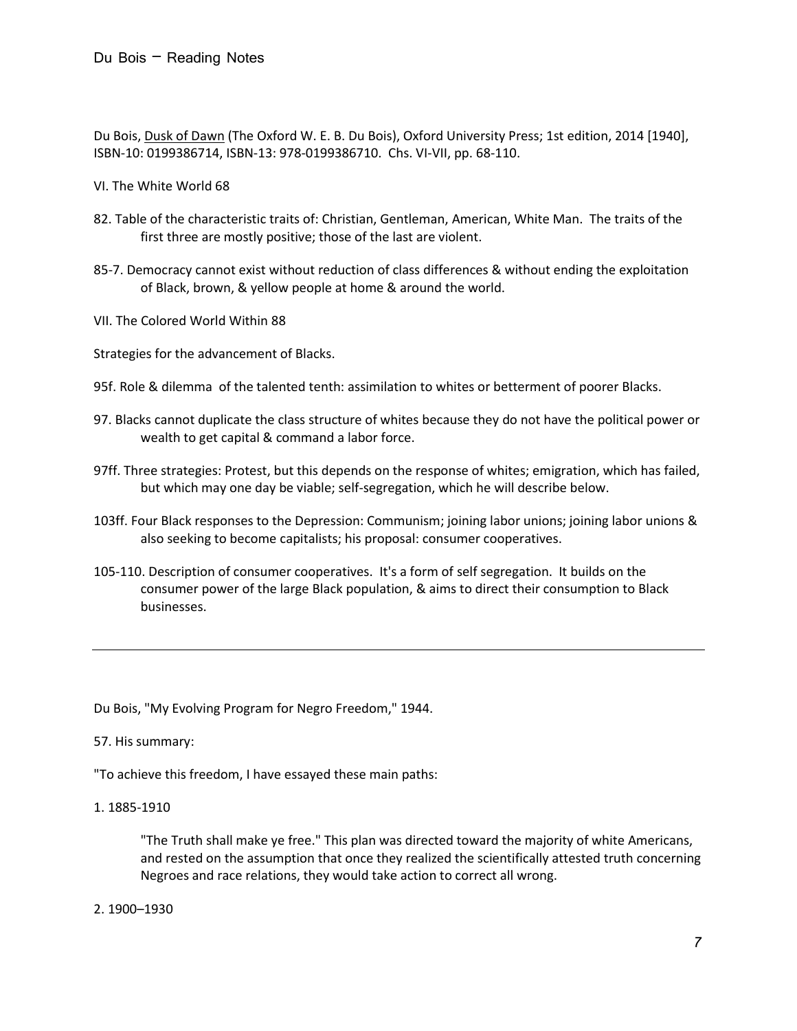Du Bois, Dusk of Dawn (The Oxford W. E. B. Du Bois), Oxford University Press; 1st edition, 2014 [1940], ISBN-10: 0199386714, ISBN-13: 978-0199386710. Chs. VI-VII, pp. 68-110.

- VI. The White World 68
- 82. Table of the characteristic traits of: Christian, Gentleman, American, White Man. The traits of the first three are mostly positive; those of the last are violent.
- 85-7. Democracy cannot exist without reduction of class differences & without ending the exploitation of Black, brown, & yellow people at home & around the world.
- VII. The Colored World Within 88

Strategies for the advancement of Blacks.

- 95f. Role & dilemma of the talented tenth: assimilation to whites or betterment of poorer Blacks.
- 97. Blacks cannot duplicate the class structure of whites because they do not have the political power or wealth to get capital & command a labor force.
- 97ff. Three strategies: Protest, but this depends on the response of whites; emigration, which has failed, but which may one day be viable; self-segregation, which he will describe below.
- 103ff. Four Black responses to the Depression: Communism; joining labor unions; joining labor unions & also seeking to become capitalists; his proposal: consumer cooperatives.
- 105-110. Description of consumer cooperatives. It's a form of self segregation. It builds on the consumer power of the large Black population, & aims to direct their consumption to Black businesses.

Du Bois, "My Evolving Program for Negro Freedom," 1944.

## 57. His summary:

- "To achieve this freedom, I have essayed these main paths:
- 1. 1885-1910

"The Truth shall make ye free." This plan was directed toward the majority of white Americans, and rested on the assumption that once they realized the scientifically attested truth concerning Negroes and race relations, they would take action to correct all wrong.

2. 1900–1930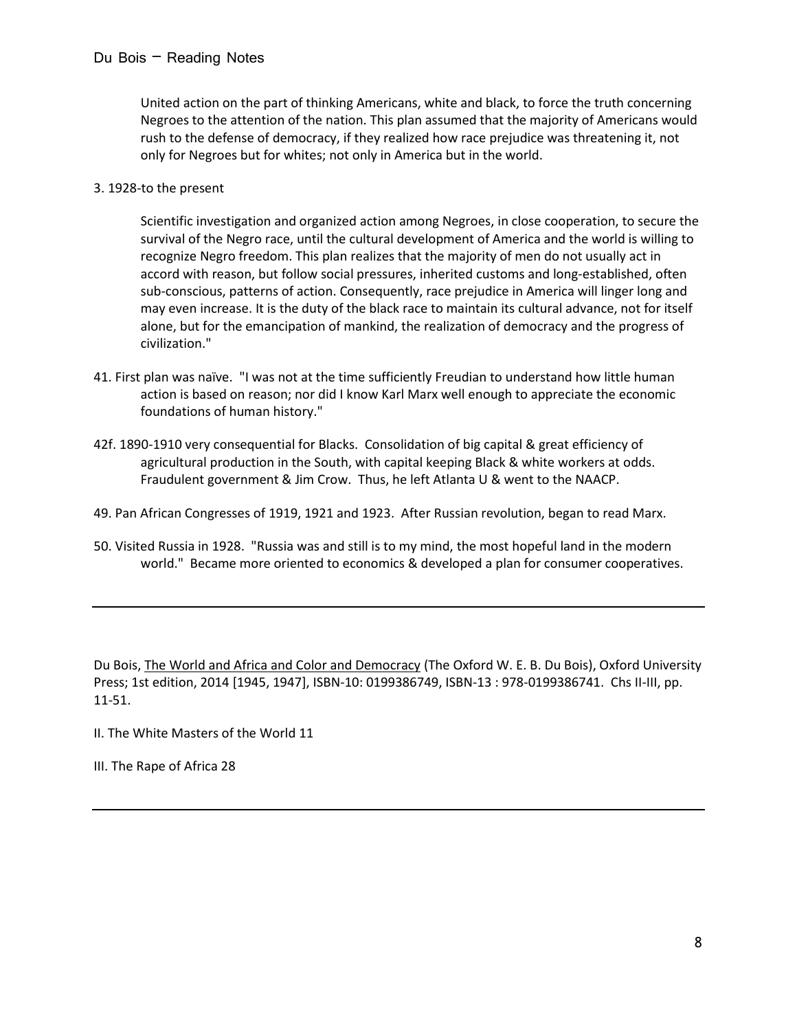United action on the part of thinking Americans, white and black, to force the truth concerning Negroes to the attention of the nation. This plan assumed that the majority of Americans would rush to the defense of democracy, if they realized how race prejudice was threatening it, not only for Negroes but for whites; not only in America but in the world.

3. 1928-to the present

Scientific investigation and organized action among Negroes, in close cooperation, to secure the survival of the Negro race, until the cultural development of America and the world is willing to recognize Negro freedom. This plan realizes that the majority of men do not usually act in accord with reason, but follow social pressures, inherited customs and long-established, often sub-conscious, patterns of action. Consequently, race prejudice in America will linger long and may even increase. It is the duty of the black race to maintain its cultural advance, not for itself alone, but for the emancipation of mankind, the realization of democracy and the progress of civilization."

- 41. First plan was naïve. "I was not at the time sufficiently Freudian to understand how little human action is based on reason; nor did I know Karl Marx well enough to appreciate the economic foundations of human history."
- 42f. 1890-1910 very consequential for Blacks. Consolidation of big capital & great efficiency of agricultural production in the South, with capital keeping Black & white workers at odds. Fraudulent government & Jim Crow. Thus, he left Atlanta U & went to the NAACP.
- 49. Pan African Congresses of 1919, 1921 and 1923. After Russian revolution, began to read Marx.
- 50. Visited Russia in 1928. "Russia was and still is to my mind, the most hopeful land in the modern world." Became more oriented to economics & developed a plan for consumer cooperatives.

Du Bois, The World and Africa and Color and Democracy (The Oxford W. E. B. Du Bois), Oxford University Press; 1st edition, 2014 [1945, 1947], ISBN-10: 0199386749, ISBN-13 : 978-0199386741. Chs II-III, pp. 11-51.

- II. The White Masters of the World 11
- III. The Rape of Africa 28